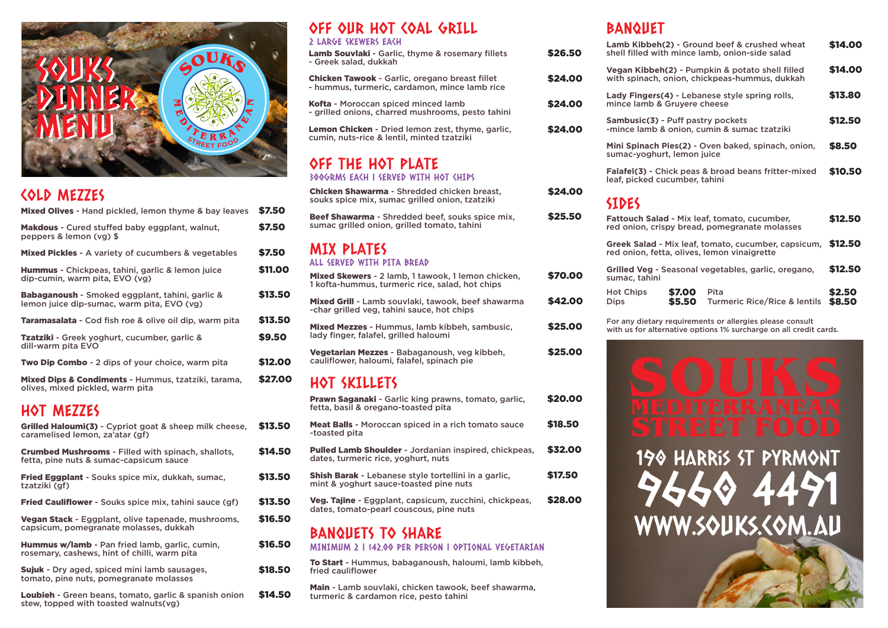

## COLD MEZZES

| Mixed Olives - Hand pickled, lemon thyme & bay leaves                                         | \$7.50  |
|-----------------------------------------------------------------------------------------------|---------|
| <b>Makdous</b> - Cured stuffed baby eggplant, walnut,<br>peppers & lemon (vg) \$              | \$7.50  |
| <b>Mixed Pickles</b> - A variety of cucumbers & vegetables                                    | \$7.50  |
| <b>Hummus</b> - Chickpeas, tahini, garlic & lemon juice<br>dip-cumin, warm pita, EVO (vg)     | \$11.00 |
| Babaganoush - Smoked eggplant, tahini, garlic &<br>lemon juice dip-sumac, warm pita, EVO (vg) | \$13.50 |
| Taramasalata - Cod fish roe & olive oil dip, warm pita                                        | \$13.50 |
| <b>Tzatziki</b> - Greek yoghurt, cucumber, garlic &<br>dill-warm pita EVO                     | \$9,50  |
| <b>Two Dip Combo</b> - 2 dips of your choice, warm pita                                       | \$12.00 |
| Mixed Dips & Condiments - Hummus, tzatziki, tarama,<br>olives, mixed pickled, warm pita       | \$27.00 |

## HOT MEZZES

| <b>Grilled Haloumi(3)</b> - Cypriot goat & sheep milk cheese,<br>caramelised lemon, za'atar (gf)      | \$13.50 |
|-------------------------------------------------------------------------------------------------------|---------|
| <b>Crumbed Mushrooms - Filled with spinach, shallots,</b><br>fetta, pine nuts & sumac-capsicum sauce  | \$14.50 |
| <b>Fried Eggplant</b> - Souks spice mix, dukkah, sumac,<br>tzatziki (gf)                              | \$13.50 |
| <b>Fried Cauliflower</b> - Souks spice mix, tahini sauce (gf)                                         | \$13.50 |
| Vegan Stack - Eggplant, olive tapenade, mushrooms,<br>capsicum, pomegranate molasses, dukkah          | \$16.50 |
| <b>Hummus w/lamb</b> - Pan fried lamb, garlic, cumin,<br>rosemary, cashews, hint of chilli, warm pita | \$16.50 |
| Sujuk - Dry aged, spiced mini lamb sausages,<br>tomato, pine nuts, pomegranate molasses               | \$18.50 |
| <b>Loubieh</b> - Green beans, tomato, garlic & spanish onion                                          | \$14.50 |

Loubieh - Green beans, tomato, garlic & spanish onion stew, topped with toasted walnuts(vg)

## OFF OUR HOT COAL GRILL

#### 2 LARGE SKEWERS EACH

| <b>Lamb Souvlaki</b> - Garlic, thyme & rosemary fillets |
|---------------------------------------------------------|
| - Greek salad, dukkah                                   |
|                                                         |

- Chicken Tawook Garlic, oregano breast fillet - hummus, turmeric, cardamon, mince lamb rice
- Kofta Moroccan spiced minced lamb - grilled onions, charred mushrooms, pesto tahini
- Lemon Chicken Dried lemon zest, thyme, garlic, cumin, nuts-rice & lentil, minted tzatziki

# OFF THE HOT PLATE

#### 300GRMS EACH | SERVED WITH HOT CHIPS

| <b>Chicken Shawarma - Shredded chicken breast,</b><br>souks spice mix, sumac grilled onion, tzatziki         | \$24.00 |
|--------------------------------------------------------------------------------------------------------------|---------|
| <b>Beef Shawarma</b> - Shredded beef, souks spice mix,<br>sumac grilled onion, grilled tomato, tahini        | \$25.50 |
| MIX PLATES<br>ALL SERVED WITH PITA BREAD                                                                     |         |
| <b>Mixed Skewers</b> - 2 lamb, 1 tawook, 1 lemon chicken,<br>1 kofta-hummus, turmeric rice, salad, hot chips | \$70.00 |
| <b>Mixed Grill</b> - Lamb souvlaki, tawook, beef shawarma<br>-char grilled veg, tahini sauce, hot chips      | \$42.00 |
| <b>Mixed Mezzes - Hummus, lamb kibbeh, sambusic,</b><br>lady finger, falafel, grilled haloumi                | \$25.00 |
| Vegetarian Mezzes - Babaganoush, veg kibbeh,<br>cauliflower, haloumi, falafel, spinach pie                   | \$25.00 |
| HOT SKILLETS                                                                                                 |         |
|                                                                                                              |         |

| <b>Prawn Saganaki</b> - Garlic king prawns, tomato, garlic,<br>fetta, basil & oregano-toasted pita    | \$20.00 |
|-------------------------------------------------------------------------------------------------------|---------|
| <b>Meat Balls</b> - Moroccan spiced in a rich tomato sauce<br>-toasted pita                           | \$18.50 |
| Pulled Lamb Shoulder - Jordanian inspired, chickpeas,<br>dates, turmeric rice, yoghurt, nuts          | \$32.00 |
| <b>Shish Barak</b> - Lebanese style tortellini in a garlic,<br>mint & voghurt sauce-toasted pine nuts | \$17.50 |
| Veg. Tajine - Eggplant, capsicum, zucchini, chickpeas,<br>dates, tomato-pearl couscous, pine nuts     | \$28.00 |
| BANQUETS TO SHARE                                                                                     |         |

MINIMUM 2 | \$42.00 PER PERSON | OPTIONAL VEGETARIAN

To Start - Hummus, babaganoush, haloumi, lamb kibbeh, fried cauliflower

Main - Lamb souvlaki, chicken tawook, beef shawarma, turmeric & cardamon rice, pesto tahini

## BANQUET

\$26.50

\$24.00

\$24.00

\$24.00

| <b>Lamb Kibbeh(2) - Ground beef &amp; crushed wheat</b><br>shell filled with mince lamb, onion-side salad |                  |                                      | \$14.00          |
|-----------------------------------------------------------------------------------------------------------|------------------|--------------------------------------|------------------|
| Vegan Kibbeh(2) - Pumpkin & potato shell filled<br>with spinach, onion, chickpeas-hummus, dukkah          |                  |                                      | \$14.00          |
| Lady Fingers(4) - Lebanese style spring rolls,<br>mince lamb & Gruvere cheese                             |                  |                                      | \$13.80          |
| Sambusic(3) - Puff pastry pockets<br>-mince lamb & onion, cumin & sumac tzatziki                          |                  |                                      | \$12.50          |
| Mini Spinach Pies(2) - Oven baked, spinach, onion,<br>sumac-yoghurt, lemon juice                          |                  |                                      | \$8.50           |
| <b>Falafel(3) - Chick peas &amp; broad beans fritter-mixed</b><br>leaf, picked cucumber, tahini           |                  |                                      | \$10.50          |
| <b>SIDES</b>                                                                                              |                  |                                      |                  |
| <b>Fattouch Salad - Mix leaf, tomato, cucumber,</b><br>red onion, crispy bread, pomegranate molasses      |                  |                                      | \$12.50          |
| Greek Salad - Mix leaf, tomato, cucumber, capsicum,<br>red onion, fetta, olives, lemon vinaigrette        |                  |                                      | \$12.50          |
| Grilled Veg - Seasonal vegetables, garlic, oregano,<br>sumac, tahini                                      |                  |                                      | \$12.50          |
| <b>Hot Chips</b><br><b>Dips</b>                                                                           | \$7.00<br>\$5.50 | Pita<br>Turmeric Rice/Rice & lentils | \$2.50<br>\$8,50 |
|                                                                                                           |                  |                                      |                  |

For any dietary requirements or allergies please consult with us for alternative options 1% surcharge on all credit cards.